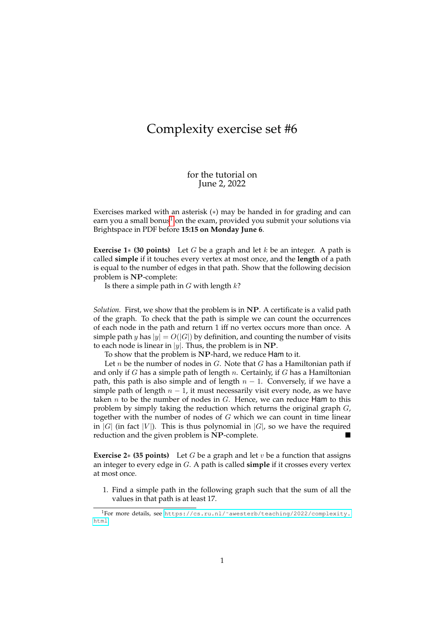## Complexity exercise set #6

for the tutorial on June 2, 2022

Exercises marked with an asterisk (∗) may be handed in for grading and can earn you a small bonus<sup>[1](#page-0-0)</sup> on the exam, provided you submit your solutions via Brightspace in PDF before **15:15 on Monday June 6**.

**Exercise 1**∗ **(30 points)** Let G be a graph and let k be an integer. A path is called **simple** if it touches every vertex at most once, and the **length** of a path is equal to the number of edges in that path. Show that the following decision problem is NP-complete:

Is there a simple path in  $G$  with length  $k$ ?

*Solution.* First, we show that the problem is in NP. A certificate is a valid path of the graph. To check that the path is simple we can count the occurrences of each node in the path and return 1 iff no vertex occurs more than once. A simple path y has  $|y| = O(|G|)$  by definition, and counting the number of visits to each node is linear in |y|. Thus, the problem is in NP.

To show that the problem is NP-hard, we reduce Ham to it.

Let  $n$  be the number of nodes in  $G$ . Note that  $G$  has a Hamiltonian path if and only if G has a simple path of length n. Certainly, if G has a Hamiltonian path, this path is also simple and of length  $n - 1$ . Conversely, if we have a simple path of length  $n - 1$ , it must necessarily visit every node, as we have taken  $n$  to be the number of nodes in  $G$ . Hence, we can reduce Ham to this problem by simply taking the reduction which returns the original graph  $G$ , together with the number of nodes of  $G$  which we can count in time linear in |G| (in fact |V|). This is thus polynomial in  $|G|$ , so we have the required reduction and the given problem is NP-complete.

**Exercise 2** $*$  **(35 points)** Let G be a graph and let v be a function that assigns an integer to every edge in G. A path is called **simple** if it crosses every vertex at most once.

1. Find a simple path in the following graph such that the sum of all the values in that path is at least 17.

<span id="page-0-0"></span><sup>1</sup>For more details, see [https://cs.ru.nl/˜awesterb/teaching/2022/complexity.](https://cs.ru.nl/~awesterb/teaching/2022/complexity.html) [html](https://cs.ru.nl/~awesterb/teaching/2022/complexity.html).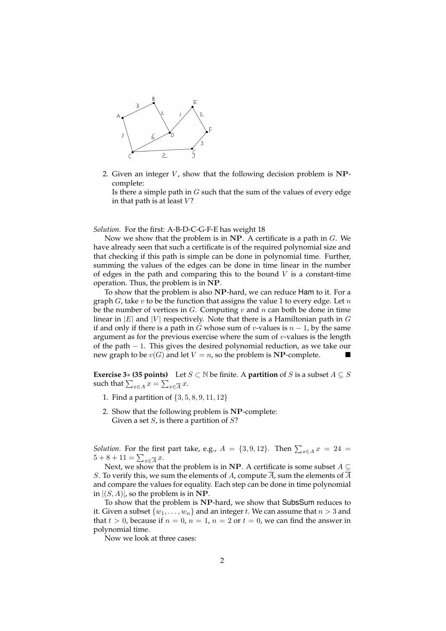

2. Given an integer  $V$ , show that the following decision problem is NPcomplete:

Is there a simple path in  $G$  such that the sum of the values of every edge in that path is at least  $V$ ?

*Solution.* For the first: A-B-D-C-G-F-E has weight 18

Now we show that the problem is in NP. A certificate is a path in  $G$ . We have already seen that such a certificate is of the required polynomial size and that checking if this path is simple can be done in polynomial time. Further, summing the values of the edges can be done in time linear in the number of edges in the path and comparing this to the bound  $V$  is a constant-time operation. Thus, the problem is in NP.

To show that the problem is also NP-hard, we can reduce Ham to it. For a graph  $G$ , take  $v$  to be the function that assigns the value 1 to every edge. Let  $n$ be the number of vertices in  $G$ . Computing  $v$  and  $n$  can both be done in time linear in |E| and |V| respectively. Note that there is a Hamiltonian path in G if and only if there is a path in G whose sum of v-values is  $n - 1$ , by the same argument as for the previous exercise where the sum of  $v$ -values is the length of the path − 1. This gives the desired polynomial reduction, as we take our new graph to be  $v(G)$  and let  $V = n$ , so the problem is NP-complete.

**Exercise 3**∗ **(35 points)** Let  $S \subset \mathbb{N}$  be finite. A **partition** of S is a subset  $A \subseteq S$ such that  $\sum_{x\in A} x = \sum_{x\in \overline{A}} x.$ 

- 1. Find a partition of {3, 5, 8, 9, 11, 12}
- 2. Show that the following problem is NP-complete: Given a set  $S$ , is there a partition of  $S$ ?

*Solution.* For the first part take, e.g.,  $A = \{3, 9, 12\}$ . Then  $\sum_{x \in A} x = 24$  $5 + 8 + 11 = \sum_{x \in \overline{A}} x.$ 

Next, we show that the problem is in NP. A certificate is some subset  $A \subseteq$ S. To verify this, we sum the elements of A, compute  $\overline{A}$ , sum the elements of  $\overline{A}$ and compare the values for equality. Each step can be done in time polynomial in  $|(S, A)|$ , so the problem is in NP.

To show that the problem is NP-hard, we show that SubsSum reduces to it. Given a subset  $\{w_1, \ldots, w_n\}$  and an integer t. We can assume that  $n > 3$  and that  $t > 0$ , because if  $n = 0$ ,  $n = 1$ ,  $n = 2$  or  $t = 0$ , we can find the answer in polynomial time.

Now we look at three cases: